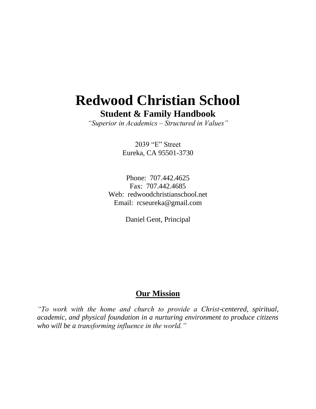# **Redwood Christian School Student & Family Handbook**

*"Superior in Academics – Structured in Values"*

2039 "E" Street Eureka, CA 95501-3730

Phone: 707.442.4625 Fax: 707.442.4685 Web: redwoodchristianschool.net Email: rcseureka@gmail.com

Daniel Gent, Principal

# **Our Mission**

*"To work with the home and church to provide a Christ-centered, spiritual, academic, and physical foundation in a nurturing environment to produce citizens who will be a transforming influence in the world."*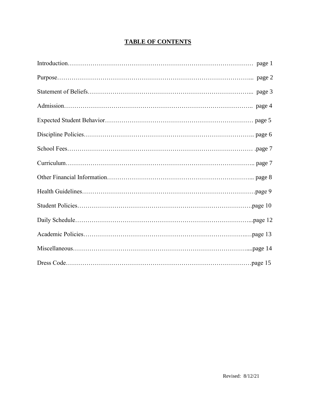# **TABLE OF CONTENTS**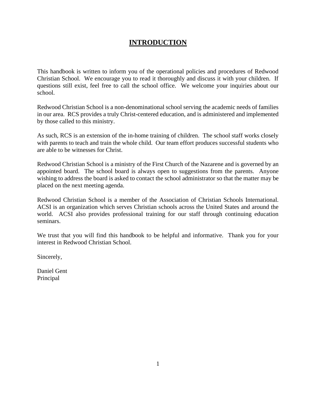# **INTRODUCTION**

This handbook is written to inform you of the operational policies and procedures of Redwood Christian School. We encourage you to read it thoroughly and discuss it with your children. If questions still exist, feel free to call the school office. We welcome your inquiries about our school.

Redwood Christian School is a non-denominational school serving the academic needs of families in our area. RCS provides a truly Christ-centered education, and is administered and implemented by those called to this ministry.

As such, RCS is an extension of the in-home training of children. The school staff works closely with parents to teach and train the whole child. Our team effort produces successful students who are able to be witnesses for Christ.

Redwood Christian School is a ministry of the First Church of the Nazarene and is governed by an appointed board. The school board is always open to suggestions from the parents. Anyone wishing to address the board is asked to contact the school administrator so that the matter may be placed on the next meeting agenda.

Redwood Christian School is a member of the Association of Christian Schools International. ACSI is an organization which serves Christian schools across the United States and around the world. ACSI also provides professional training for our staff through continuing education seminars.

We trust that you will find this handbook to be helpful and informative. Thank you for your interest in Redwood Christian School.

Sincerely,

Daniel Gent Principal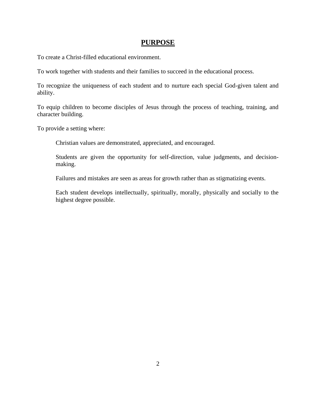### **PURPOSE**

To create a Christ-filled educational environment.

To work together with students and their families to succeed in the educational process.

To recognize the uniqueness of each student and to nurture each special God-given talent and ability.

To equip children to become disciples of Jesus through the process of teaching, training, and character building.

To provide a setting where:

Christian values are demonstrated, appreciated, and encouraged.

Students are given the opportunity for self-direction, value judgments, and decisionmaking.

Failures and mistakes are seen as areas for growth rather than as stigmatizing events.

Each student develops intellectually, spiritually, morally, physically and socially to the highest degree possible.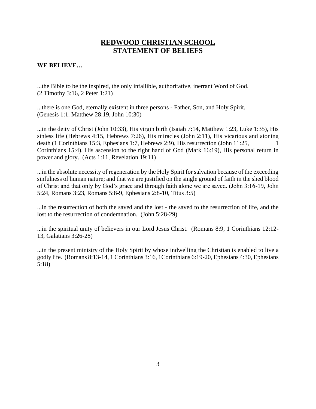### **REDWOOD CHRISTIAN SCHOOL STATEMENT OF BELIEFS**

#### **WE BELIEVE…**

...the Bible to be the inspired, the only infallible, authoritative, inerrant Word of God. (2 Timothy 3:16, 2 Peter 1:21)

...there is one God, eternally existent in three persons - Father, Son, and Holy Spirit. (Genesis 1:1. Matthew 28:19, John 10:30)

...in the deity of Christ (John 10:33), His virgin birth (Isaiah 7:14, Matthew 1:23, Luke 1:35), His sinless life (Hebrews 4:15, Hebrews 7:26), His miracles (John 2:11), His vicarious and atoning death (1 Corinthians 15:3, Ephesians 1:7, Hebrews 2:9), His resurrection (John 11:25, 1 Corinthians 15:4), His ascension to the right hand of God (Mark 16:19), His personal return in power and glory. (Acts 1:11, Revelation 19:11)

...in the absolute necessity of regeneration by the Holy Spirit for salvation because of the exceeding sinfulness of human nature; and that we are justified on the single ground of faith in the shed blood of Christ and that only by God's grace and through faith alone we are saved. (John 3:16-19, John 5:24, Romans 3:23, Romans 5:8-9, Ephesians 2:8-10, Titus 3:5)

...in the resurrection of both the saved and the lost - the saved to the resurrection of life, and the lost to the resurrection of condemnation. (John 5:28-29)

...in the spiritual unity of believers in our Lord Jesus Christ. (Romans 8:9, 1 Corinthians 12:12- 13, Galatians 3:26-28)

...in the present ministry of the Holy Spirit by whose indwelling the Christian is enabled to live a godly life. (Romans 8:13-14, 1 Corinthians 3:16, 1Corinthians 6:19-20, Ephesians 4:30, Ephesians 5:18)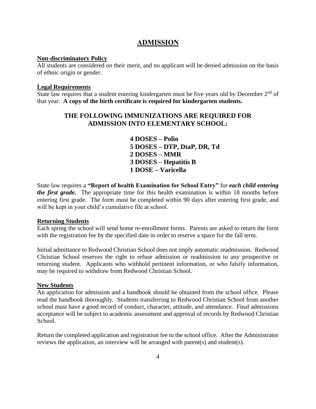## **ADMISSION**

#### **Non-discriminatory Policy**

All students are considered on their merit, and no applicant will be denied admission on the basis of ethnic origin or gender.

#### **Legal Requirements**

State law requires that a student entering kindergarten must be five years old by December  $2<sup>nd</sup>$  of that year. **A copy of the birth certificate is required for kindergarten students.**

### **THE FOLLOWING IMMUNIZATIONS ARE REQUIRED FOR ADMISSION INTO ELEMENTARY SCHOOL:**

**4 DOSES – Polio 5 DOSES – DTP, DtaP, DR, Td 2 DOSES – MMR 3 DOSES – Hepatitis B 1 DOSE – Varicella**

State law requires a **"Report of health Examination for School Entry"** for *each child entering the first grade.* The appropriate time for this health examination is within 18 months before entering first grade. The form must be completed within 90 days after entering first grade, and will be kept in your child's cumulative file at school.

#### **Returning Students**

Each spring the school will send home re-enrollment forms. Parents are asked to return the form with the registration fee by the specified date in order to reserve a space for the fall term.

Initial admittance to Redwood Christian School does not imply automatic readmission. Redwood Christian School reserves the right to refuse admission or readmission to any prospective or returning student. Applicants who withhold pertinent information, or who falsify information, may be required to withdraw from Redwood Christian School.

#### **New Students**

An application for admission and a handbook should be obtained from the school office. Please read the handbook thoroughly. Students transferring to Redwood Christian School from another school must have a good record of conduct, character, attitude, and attendance. Final admissions acceptance will be subject to academic assessment and approval of records by Redwood Christian School.

Return the completed application and registration fee to the school office. After the Administrator reviews the application, an interview will be arranged with parent(s) and student(s).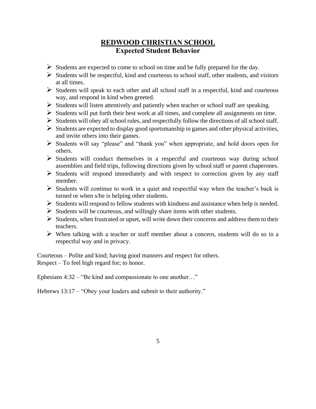# **REDWOOD CHRISTIAN SCHOOL Expected Student Behavior**

- ➢ Students are expected to come to school on time and be fully prepared for the day.
- $\triangleright$  Students will be respectful, kind and courteous to school staff, other students, and visitors at all times.
- ➢ Students will speak to each other and all school staff in a respectful, kind and courteous way, and respond in kind when greeted.
- ➢ Students will listen attentively and patiently when teacher or school staff are speaking.
- $\triangleright$  Students will put forth their best work at all times, and complete all assignments on time.
- $\triangleright$  Students will obey all school rules, and respectfully follow the directions of all school staff.
- $\triangleright$  Students are expected to display good sportsmanship in games and other physical activities, and invite others into their games.
- ➢ Students will say "please" and "thank you" when appropriate, and hold doors open for others.
- ➢ Students will conduct themselves in a respectful and courteous way during school assemblies and field trips, following directions given by school staff or parent chaperones.
- $\triangleright$  Students will respond immediately and with respect to correction given by any staff member.
- $\triangleright$  Students will continue to work in a quiet and respectful way when the teacher's back is turned or when s/he is helping other students.
- ➢ Students will respond to fellow students with kindness and assistance when help is needed.
- ➢ Students will be courteous, and willingly share items with other students.
- $\triangleright$  Students, when frustrated or upset, will write down their concerns and address them to their teachers.
- $\triangleright$  When talking with a teacher or staff member about a concern, students will do so in a respectful way and in privacy.

Courteous – Polite and kind; having good manners and respect for others. Respect – To feel high regard for; to honor.

Ephesians 4:32 – "Be kind and compassionate to one another…"

Hebrews 13:17 – "Obey your leaders and submit to their authority."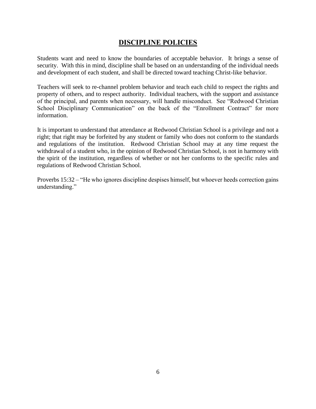## **DISCIPLINE POLICIES**

Students want and need to know the boundaries of acceptable behavior. It brings a sense of security. With this in mind, discipline shall be based on an understanding of the individual needs and development of each student, and shall be directed toward teaching Christ-like behavior.

Teachers will seek to re-channel problem behavior and teach each child to respect the rights and property of others, and to respect authority. Individual teachers, with the support and assistance of the principal, and parents when necessary, will handle misconduct. See "Redwood Christian School Disciplinary Communication" on the back of the "Enrollment Contract" for more information.

It is important to understand that attendance at Redwood Christian School is a privilege and not a right; that right may be forfeited by any student or family who does not conform to the standards and regulations of the institution. Redwood Christian School may at any time request the withdrawal of a student who, in the opinion of Redwood Christian School, is not in harmony with the spirit of the institution, regardless of whether or not her conforms to the specific rules and regulations of Redwood Christian School.

Proverbs 15:32 – "He who ignores discipline despises himself, but whoever heeds correction gains understanding."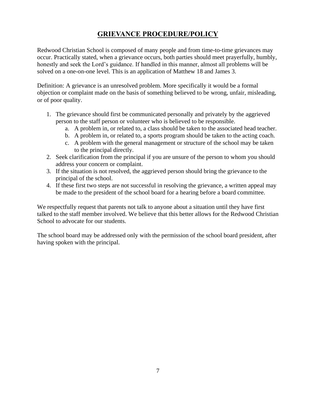# **GRIEVANCE PROCEDURE/POLICY**

Redwood Christian School is composed of many people and from time-to-time grievances may occur. Practically stated, when a grievance occurs, both parties should meet prayerfully, humbly, honestly and seek the Lord's guidance. If handled in this manner, almost all problems will be solved on a one-on-one level. This is an application of Matthew 18 and James 3.

Definition: A grievance is an unresolved problem. More specifically it would be a formal objection or complaint made on the basis of something believed to be wrong, unfair, misleading, or of poor quality.

- 1. The grievance should first be communicated personally and privately by the aggrieved person to the staff person or volunteer who is believed to be responsible.
	- a. A problem in, or related to, a class should be taken to the associated head teacher.
	- b. A problem in, or related to, a sports program should be taken to the acting coach.
	- c. A problem with the general management or structure of the school may be taken to the principal directly.
- 2. Seek clarification from the principal if you are unsure of the person to whom you should address your concern or complaint.
- 3. If the situation is not resolved, the aggrieved person should bring the grievance to the principal of the school.
- 4. If these first two steps are not successful in resolving the grievance, a written appeal may be made to the president of the school board for a hearing before a board committee.

We respectfully request that parents not talk to anyone about a situation until they have first talked to the staff member involved. We believe that this better allows for the Redwood Christian School to advocate for our students.

The school board may be addressed only with the permission of the school board president, after having spoken with the principal.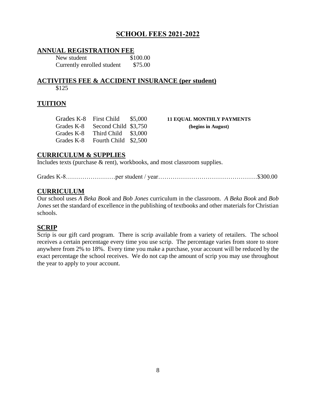# **SCHOOL FEES 2021-2022**

### **ANNUAL REGISTRATION FEE**

New student \$100.00 Currently enrolled student \$75.00

#### **ACTIVITIES FEE & ACCIDENT INSURANCE (per student)** \$125

### **TUITION**

| Grades K-8 | <b>First Child</b>   | \$5,000 |
|------------|----------------------|---------|
| Grades K-8 | Second Child \$3,750 |         |
| Grades K-8 | Third Child          | \$3,000 |
| Grades K-8 | Fourth Child         | \$2,500 |

11 EQUAL MONTHLY PAYMENTS (begins in August)

### **CURRICULUM & SUPPLIES**

Includes texts (purchase & rent), workbooks, and most classroom supplies.

Grades K-8……………………per student / year…………………………………………\$300.00

### **CURRICULUM**

Our school uses *A Beka Book* and *Bob Jones* curriculum in the classroom. *A Beka Book* and *Bob Jones* set the standard of excellence in the publishing of textbooks and other materials for Christian schools.

### **SCRIP**

Scrip is our gift card program. There is scrip available from a variety of retailers. The school receives a certain percentage every time you use scrip. The percentage varies from store to store anywhere from 2% to 18%. Every time you make a purchase, your account will be reduced by the exact percentage the school receives. We do not cap the amount of scrip you may use throughout the year to apply to your account.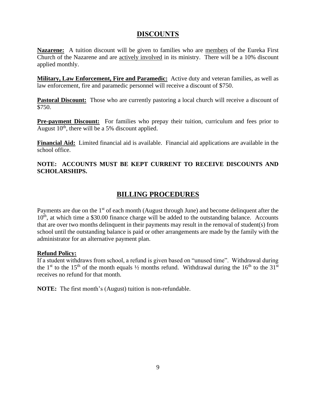### **DISCOUNTS**

**Nazarene:** A tuition discount will be given to families who are members of the Eureka First Church of the Nazarene and are actively involved in its ministry. There will be a 10% discount applied monthly.

**Military, Law Enforcement, Fire and Paramedic:** Active duty and veteran families, as well as law enforcement, fire and paramedic personnel will receive a discount of \$750.

**Pastoral Discount:** Those who are currently pastoring a local church will receive a discount of \$750.

**Pre-payment Discount:** For families who prepay their tuition, curriculum and fees prior to August  $10<sup>th</sup>$ , there will be a 5% discount applied.

**Financial Aid:** Limited financial aid is available. Financial aid applications are available in the school office.

#### **NOTE: ACCOUNTS MUST BE KEPT CURRENT TO RECEIVE DISCOUNTS AND SCHOLARSHIPS.**

# **BILLING PROCEDURES**

Payments are due on the 1<sup>st</sup> of each month (August through June) and become delinquent after the  $10<sup>th</sup>$ , at which time a \$30.00 finance charge will be added to the outstanding balance. Accounts that are over two months delinquent in their payments may result in the removal of student(s) from school until the outstanding balance is paid or other arrangements are made by the family with the administrator for an alternative payment plan.

#### **Refund Policy:**

If a student withdraws from school, a refund is given based on "unused time". Withdrawal during the 1<sup>st</sup> to the 15<sup>th</sup> of the month equals  $\frac{1}{2}$  months refund. Withdrawal during the 16<sup>th</sup> to the 31<sup>st</sup> receives no refund for that month.

**NOTE:** The first month's (August) tuition is non-refundable.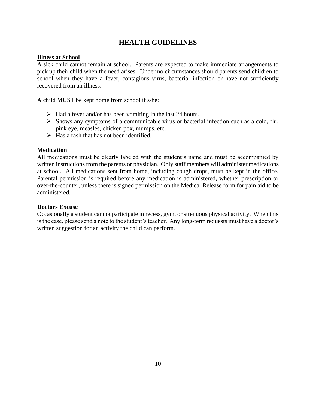# **HEALTH GUIDELINES**

#### **Illness at School**

A sick child cannot remain at school. Parents are expected to make immediate arrangements to pick up their child when the need arises. Under no circumstances should parents send children to school when they have a fever, contagious virus, bacterial infection or have not sufficiently recovered from an illness.

A child MUST be kept home from school if s/he:

- $\triangleright$  Had a fever and/or has been vomiting in the last 24 hours.
- ➢ Shows any symptoms of a communicable virus or bacterial infection such as a cold, flu, pink eye, measles, chicken pox, mumps, etc.
- $\triangleright$  Has a rash that has not been identified.

#### **Medication**

All medications must be clearly labeled with the student's name and must be accompanied by written instructions from the parents or physician. Only staff members will administer medications at school. All medications sent from home, including cough drops, must be kept in the office. Parental permission is required before any medication is administered, whether prescription or over-the-counter, unless there is signed permission on the Medical Release form for pain aid to be administered.

#### **Doctors Excuse**

Occasionally a student cannot participate in recess, gym, or strenuous physical activity. When this is the case, please send a note to the student's teacher. Any long-term requests must have a doctor's written suggestion for an activity the child can perform.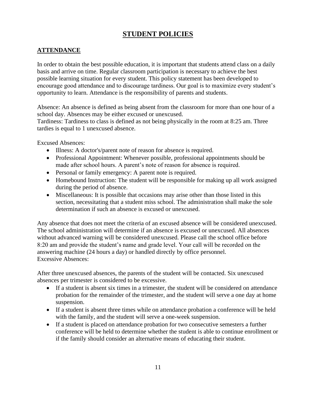# **STUDENT POLICIES**

### **ATTENDANCE**

In order to obtain the best possible education, it is important that students attend class on a daily basis and arrive on time. Regular classroom participation is necessary to achieve the best possible learning situation for every student. This policy statement has been developed to encourage good attendance and to discourage tardiness. Our goal is to maximize every student's opportunity to learn. Attendance is the responsibility of parents and students.

Absence: An absence is defined as being absent from the classroom for more than one hour of a school day. Absences may be either excused or unexcused.

Tardiness: Tardiness to class is defined as not being physically in the room at 8:25 am. Three tardies is equal to 1 unexcused absence.

Excused Absences:

- Illness: A doctor's/parent note of reason for absence is required.
- Professional Appointment: Whenever possible, professional appointments should be made after school hours. A parent's note of reason for absence is required.
- Personal or family emergency: A parent note is required.
- Homebound Instruction: The student will be responsible for making up all work assigned during the period of absence.
- Miscellaneous: It is possible that occasions may arise other than those listed in this section, necessitating that a student miss school. The administration shall make the sole determination if such an absence is excused or unexcused.

Any absence that does not meet the criteria of an excused absence will be considered unexcused. The school administration will determine if an absence is excused or unexcused. All absences without advanced warning will be considered unexcused. Please call the school office before 8:20 am and provide the student's name and grade level. Your call will be recorded on the answering machine (24 hours a day) or handled directly by office personnel. Excessive Absences:

After three unexcused absences, the parents of the student will be contacted. Six unexcused absences per trimester is considered to be excessive.

- If a student is absent six times in a trimester, the student will be considered on attendance probation for the remainder of the trimester, and the student will serve a one day at home suspension.
- If a student is absent three times while on attendance probation a conference will be held with the family, and the student will serve a one-week suspension.
- If a student is placed on attendance probation for two consecutive semesters a further conference will be held to determine whether the student is able to continue enrollment or if the family should consider an alternative means of educating their student.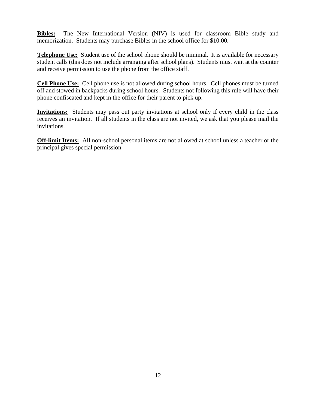**Bibles:** The New International Version (NIV) is used for classroom Bible study and memorization. Students may purchase Bibles in the school office for \$10.00.

**Telephone Use:** Student use of the school phone should be minimal. It is available for necessary student calls (this does not include arranging after school plans). Students must wait at the counter and receive permission to use the phone from the office staff.

**Cell Phone Use:** Cell phone use is not allowed during school hours. Cell phones must be turned off and stowed in backpacks during school hours. Students not following this rule will have their phone confiscated and kept in the office for their parent to pick up.

**Invitations:** Students may pass out party invitations at school only if every child in the class receives an invitation. If all students in the class are not invited, we ask that you please mail the invitations.

**Off-limit Items:** All non-school personal items are not allowed at school unless a teacher or the principal gives special permission.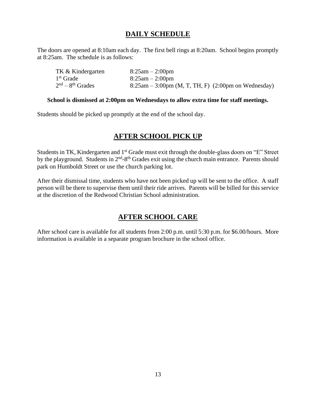# **DAILY SCHEDULE**

The doors are opened at 8:10am each day. The first bell rings at 8:20am. School begins promptly at 8:25am. The schedule is as follows:

| TK & Kindergarten  | $8:25am - 2:00pm$                                      |
|--------------------|--------------------------------------------------------|
| $1st$ Grade        | $8:25am - 2:00pm$                                      |
| $2nd - 8th$ Grades | $8:25$ am – 3:00pm (M, T, TH, F) (2:00pm on Wednesday) |

#### **School is dismissed at 2:00pm on Wednesdays to allow extra time for staff meetings.**

Students should be picked up promptly at the end of the school day.

# **AFTER SCHOOL PICK UP**

Students in TK, Kindergarten and 1<sup>st</sup> Grade must exit through the double-glass doors on "E" Street by the playground. Students in 2<sup>nd</sup>-8<sup>th</sup> Grades exit using the church main entrance. Parents should park on Humboldt Street or use the church parking lot.

After their dismissal time, students who have not been picked up will be sent to the office. A staff person will be there to supervise them until their ride arrives. Parents will be billed for this service at the discretion of the Redwood Christian School administration.

# **AFTER SCHOOL CARE**

After school care is available for all students from 2:00 p.m. until 5:30 p.m. for \$6.00/hours. More information is available in a separate program brochure in the school office.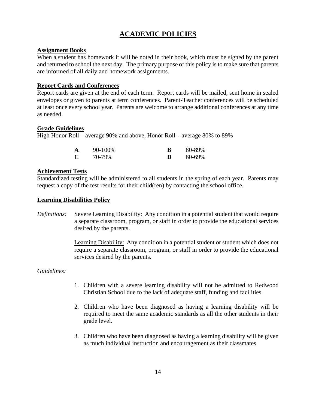# **ACADEMIC POLICIES**

#### **Assignment Books**

When a student has homework it will be noted in their book, which must be signed by the parent and returned to school the next day. The primary purpose of this policy is to make sure that parents are informed of all daily and homework assignments.

#### **Report Cards and Conferences**

Report cards are given at the end of each term. Report cards will be mailed, sent home in sealed envelopes or given to parents at term conferences. Parent-Teacher conferences will be scheduled at least once every school year. Parents are welcome to arrange additional conferences at any time as needed.

#### **Grade Guidelines**

High Honor Roll – average 90% and above, Honor Roll – average 80% to 89%

| A | 90-100% |   | 80-89% |
|---|---------|---|--------|
| C | 70-79%  | D | 60-69% |

### **Achievement Tests**

Standardized testing will be administered to all students in the spring of each year. Parents may request a copy of the test results for their child(ren) by contacting the school office.

#### **Learning Disabilities Policy**

*Definitions:* Severe Learning Disability: Any condition in a potential student that would require a separate classroom, program, or staff in order to provide the educational services desired by the parents.

> Learning Disability: Any condition in a potential student or student which does not require a separate classroom, program, or staff in order to provide the educational services desired by the parents.

*Guidelines:*

- 1. Children with a severe learning disability will not be admitted to Redwood Christian School due to the lack of adequate staff, funding and facilities.
- 2. Children who have been diagnosed as having a learning disability will be required to meet the same academic standards as all the other students in their grade level.
- 3. Children who have been diagnosed as having a learning disability will be given as much individual instruction and encouragement as their classmates.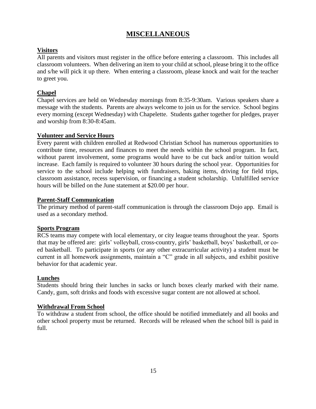## **MISCELLANEOUS**

### **Visitors**

All parents and visitors must register in the office before entering a classroom. This includes all classroom volunteers. When delivering an item to your child at school, please bring it to the office and s/he will pick it up there. When entering a classroom, please knock and wait for the teacher to greet you.

### **Chapel**

Chapel services are held on Wednesday mornings from 8:35-9:30am. Various speakers share a message with the students. Parents are always welcome to join us for the service. School begins every morning (except Wednesday) with Chapelette. Students gather together for pledges, prayer and worship from 8:30-8:45am.

#### **Volunteer and Service Hours**

Every parent with children enrolled at Redwood Christian School has numerous opportunities to contribute time, resources and finances to meet the needs within the school program. In fact, without parent involvement, some programs would have to be cut back and/or tuition would increase. Each family is required to volunteer 30 hours during the school year. Opportunities for service to the school include helping with fundraisers, baking items, driving for field trips, classroom assistance, recess supervision, or financing a student scholarship. Unfulfilled service hours will be billed on the June statement at \$20.00 per hour.

#### **Parent-Staff Communication**

The primary method of parent-staff communication is through the classroom Dojo app. Email is used as a secondary method.

#### **Sports Program**

RCS teams may compete with local elementary, or city league teams throughout the year. Sports that may be offered are: girls' volleyball, cross-country, girls' basketball, boys' basketball, or coed basketball. To participate in sports (or any other extracurricular activity) a student must be current in all homework assignments, maintain a "C" grade in all subjects, and exhibit positive behavior for that academic year.

#### **Lunches**

Students should bring their lunches in sacks or lunch boxes clearly marked with their name. Candy, gum, soft drinks and foods with excessive sugar content are not allowed at school.

#### **Withdrawal From School**

To withdraw a student from school, the office should be notified immediately and all books and other school property must be returned. Records will be released when the school bill is paid in full.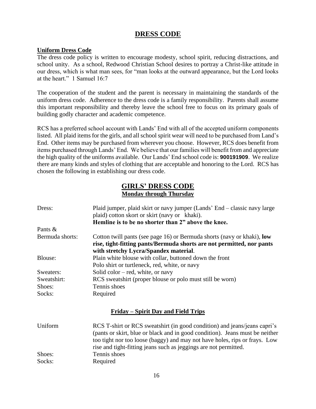# **DRESS CODE**

#### **Uniform Dress Code**

The dress code policy is written to encourage modesty, school spirit, reducing distractions, and school unity. As a school, Redwood Christian School desires to portray a Christ-like attitude in our dress, which is what man sees, for "man looks at the outward appearance, but the Lord looks at the heart." 1 Samuel 16:7

The cooperation of the student and the parent is necessary in maintaining the standards of the uniform dress code. Adherence to the dress code is a family responsibility. Parents shall assume this important responsibility and thereby leave the school free to focus on its primary goals of building godly character and academic competence.

RCS has a preferred school account with Lands' End with all of the accepted uniform components listed. All plaid items for the girls, and all school spirit wear will need to be purchased from Land's End. Other items may be purchased from wherever you choose. However, RCS does benefit from items purchased through Lands' End. We believe that our families will benefit from and appreciate the high quality of the uniforms available. Our Lands' End school code is: **900191909**. We realize there are many kinds and styles of clothing that are acceptable and honoring to the Lord. RCS has chosen the following in establishing our dress code.

### **GIRLS' DRESS CODE Monday through Thursday**

| Dress:          | Plaid jumper, plaid skirt or navy jumper (Lands' End – classic navy large<br>plaid) cotton skort or skirt (navy or khaki).<br>Hemline is to be no shorter than 2" above the knee.                                                                                                                           |
|-----------------|-------------------------------------------------------------------------------------------------------------------------------------------------------------------------------------------------------------------------------------------------------------------------------------------------------------|
| Pants $\&$      |                                                                                                                                                                                                                                                                                                             |
| Bermuda shorts: | Cotton twill pants (see page 16) or Bermuda shorts (navy or khaki), low<br>rise, tight-fitting pants/Bermuda shorts are not permitted, nor pants<br>with stretchy Lycra/Spandex material.                                                                                                                   |
| Blouse:         | Plain white blouse with collar, buttoned down the front                                                                                                                                                                                                                                                     |
|                 | Polo shirt or turtleneck, red, white, or navy                                                                                                                                                                                                                                                               |
| Sweaters:       | Solid color $-$ red, white, or navy                                                                                                                                                                                                                                                                         |
| Sweatshirt:     | RCS sweatshirt (proper blouse or polo must still be worn)                                                                                                                                                                                                                                                   |
| Shoes:          | Tennis shoes                                                                                                                                                                                                                                                                                                |
| Socks:          | Required                                                                                                                                                                                                                                                                                                    |
|                 | <u>Friday – Spirit Day and Field Trips</u>                                                                                                                                                                                                                                                                  |
| Uniform         | RCS T-shirt or RCS sweatshirt (in good condition) and jeans/jeans capri's<br>(pants or skirt, blue or black and in good condition). Jeans must be neither<br>too tight nor too loose (baggy) and may not have holes, rips or frays. Low<br>rise and tight-fitting jeans such as jeggings are not permitted. |
| Shoes:          | Tennis shoes                                                                                                                                                                                                                                                                                                |
| Socks:          | Required                                                                                                                                                                                                                                                                                                    |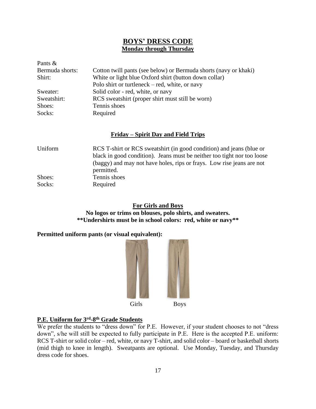## **BOYS' DRESS CODE Monday through Thursday**

| Pants $\&$      |                                                                  |
|-----------------|------------------------------------------------------------------|
| Bermuda shorts: | Cotton twill pants (see below) or Bermuda shorts (navy or khaki) |
| Shirt:          | White or light blue Oxford shirt (button down collar)            |
|                 | Polo shirt or turtleneck $-$ red, white, or navy                 |
| Sweater:        | Solid color - red, white, or navy                                |
| Sweatshirt:     | RCS sweatshirt (proper shirt must still be worn)                 |
| Shoes:          | Tennis shoes                                                     |
| Socks:          | Required                                                         |

### **Friday – Spirit Day and Field Trips**

| Uniform | RCS T-shirt or RCS sweatshirt (in good condition) and jeans (blue or<br>black in good condition). Jeans must be neither too tight nor too loose |
|---------|-------------------------------------------------------------------------------------------------------------------------------------------------|
|         | (baggy) and may not have holes, rips or frays. Low rise jeans are not<br>permitted.                                                             |
| Shoes:  | Tennis shoes                                                                                                                                    |
| Socks:  | Required                                                                                                                                        |

### **For Girls and Boys**

**No logos or trims on blouses, polo shirts, and sweaters. \*\*Undershirts must be in school colors: red, white or navy\*\***

### **Permitted uniform pants (or visual equivalent):**



### **P.E. Uniform for 3<sup>rd</sup>-8<sup>th</sup> Grade Students**

We prefer the students to "dress down" for P.E. However, if your student chooses to not "dress" down", s/he will still be expected to fully participate in P.E. Here is the accepted P.E. uniform: RCS T-shirt or solid color – red, white, or navy T-shirt, and solid color – board or basketball shorts (mid thigh to knee in length). Sweatpants are optional. Use Monday, Tuesday, and Thursday dress code for shoes.